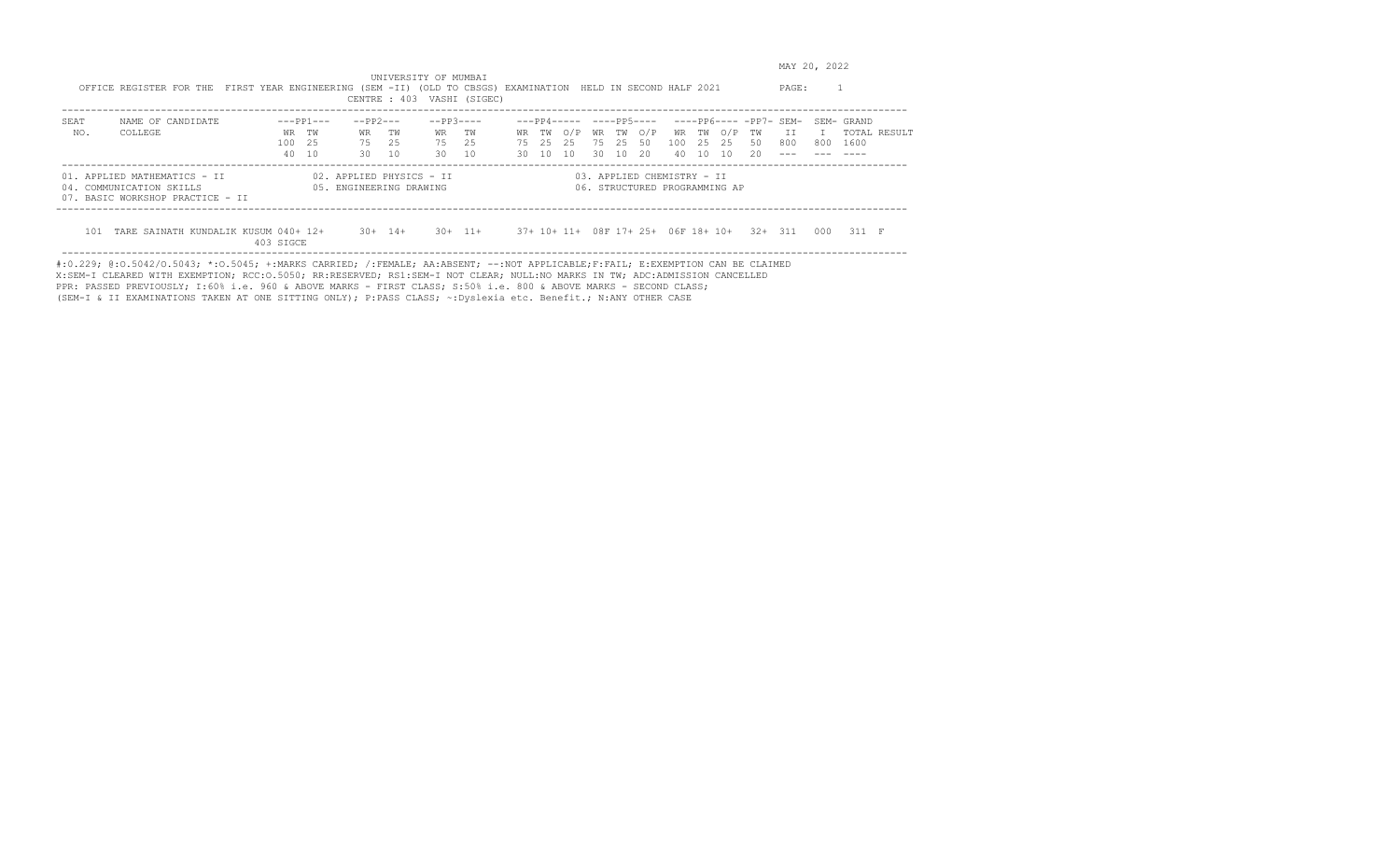MAY 20, 2022

 UNIVERSITY OF MUMBAI OFFICE REGISTER FOR THE FIRST YEAR ENGINEERING (SEM -II) (OLD TO CBSGS) EXAMINATION HELD IN SECOND HALF 2021 PAGE: 1 CENTRE : 403 VASHI (SIGEC) ------------------------------------------------------------------------------------------------------------------------------------------------- SEAT NAME OF CANDIDATE ---PP1--- --PP2--- --PP3---- ---PP4----- ----PP5---- ----PP6---- -PP7- SEM- SEM- GRAND WR TW WR TW WR TW WR TW O/P WR TW O/P WR TW O/P TW II I TOTAL RESULT 100 25 75 25 75 25 75 25 25 75 25 50 100 25 25 50 800 800 1600 40 10 30 10 30 10 30 10 10 30 10 20 40 10 10 20 --- --- ---- ------------------------------------------------------------------------------------------------------------------------------------------------- 01. APPLIED MATHEMATICS - II 02. APPLIED PHYSICS - II 03. APPLIED CHEMISTRY - II 04. COMMUNICATION SKILLS 05. ENGINEERING DRAWING 06. STRUCTURED PROGRAMMING AP 07. BASIC WORKSHOP PRACTICE - II --------------------------------------------------------------------------------------------------------------------------------------------------

 101 TARE SAINATH KUNDALIK KUSUM 040+ 12+ 30+ 14+ 30+ 11+ 37+ 10+ 11+ 08F 17+ 25+ 06F 18+ 10+ 32+ 311 000 311 F 403 SIGCE -------------------------------------------------------------------------------------------------------------------------------------------------

#:0.229; @:O.5042/O.5043; \*:O.5045; +:MARKS CARRIED; /:FEMALE; AA:ABSENT; --:NOT APPLICABLE;F:FAIL; E:EXEMPTION CAN BE CLAIMED X:SEM-I CLEARED WITH EXEMPTION; RCC:O.5050; RR:RESERVED; RS1:SEM-I NOT CLEAR; NULL:NO MARKS IN TW; ADC:ADMISSION CANCELLED PPR: PASSED PREVIOUSLY; I:60% i.e. 960 & ABOVE MARKS - FIRST CLASS; S:50% i.e. 800 & ABOVE MARKS - SECOND CLASS; (SEM-I & II EXAMINATIONS TAKEN AT ONE SITTING ONLY); P:PASS CLASS; ~:Dyslexia etc. Benefit.; N:ANY OTHER CASE